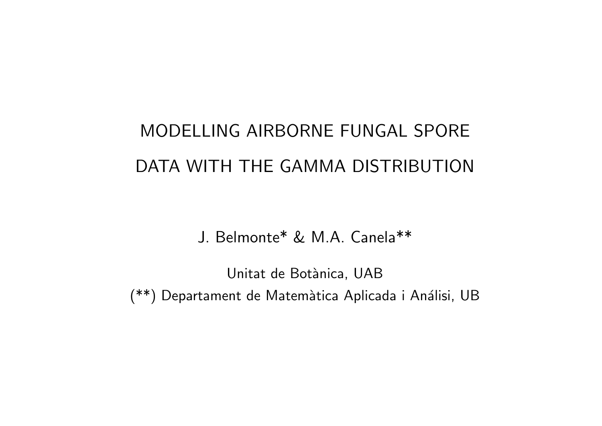# MODELLING AIRBORNE FUNGAL SPORE DATA WITH THE GAMMA DISTRIBUTION

J. Belmonte\* & M.A. Canela\*\*

Unitat de Botànica, UAB (\*\*) Departament de Matemàtica Aplicada i Análisi, UB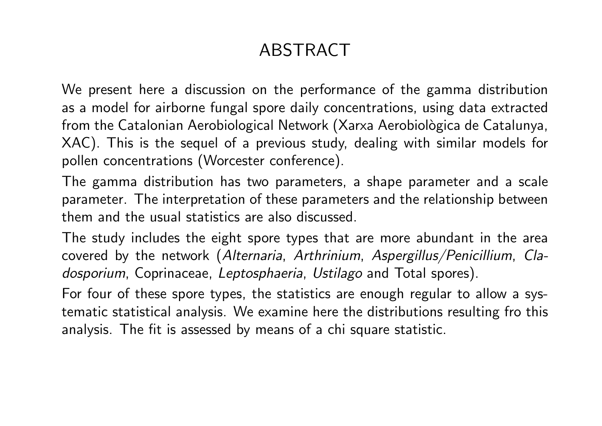## ABSTRACT

We present here <sup>a</sup> discussion on the performance of the gamma distribution as <sup>a</sup> model for airborne fungal spore daily concentrations, using data extracted from the Catalonian Aerobiological Network (Xarxa Aerobiològica de Catalunya, XAC). This is the sequel of <sup>a</sup> previous study, dealing with similar models for pollen concentrations (Worcester conference).

The gamma distribution has two parameters, <sup>a</sup> shape parameter and <sup>a</sup> scale parameter. The interpretation of these parameters and the relationship between them and the usual statistics are also discussed.

The study includes the eight spore types that are more abundant in the area covered by the network (*Alternaria*, *Arthrinium*, *Aspergillus/Penicillium*, *Cladosporium*, Coprinaceae, *Leptosphaeria*, *Ustilago* and Total spores).

For four of these spore types, the statistics are enough regular to allow <sup>a</sup> systematic statistical analysis. We examine here the distributions resulting fro this analysis. The fit is assessed by means of <sup>a</sup> chi square statistic.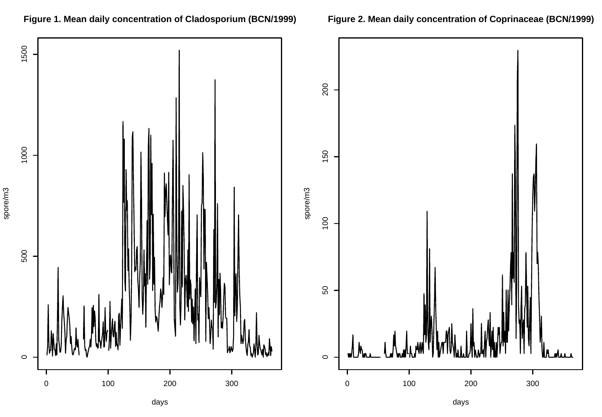

### **Figure 1. Mean daily concentration of Cladosporium (BCN/1999)**

**Figure 2. Mean daily concentration of Coprinaceae (BCN/1999)**

days

days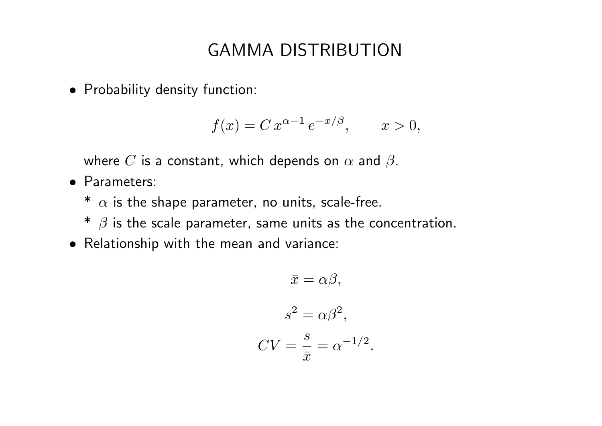## GAMMA DISTRIBUTION

*•* Probability density function:

$$
f(x) = C x^{\alpha - 1} e^{-x/\beta}, \qquad x > 0,
$$

where  $C$  is a constant, which depends on  $\alpha$  and  $\beta.$ 

- *•* Parameters:
	- $^*$   $\alpha$  is the shape parameter, no units, scale-free.
	- $^*$   $\beta$  is the scale parameter, same units as the concentration.
- *•* Relationship with the mean and variance:

$$
\bar{x} = \alpha \beta,
$$
  

$$
s^2 = \alpha \beta^2,
$$
  

$$
CV = \frac{s}{\bar{x}} = \alpha^{-1/2}
$$

.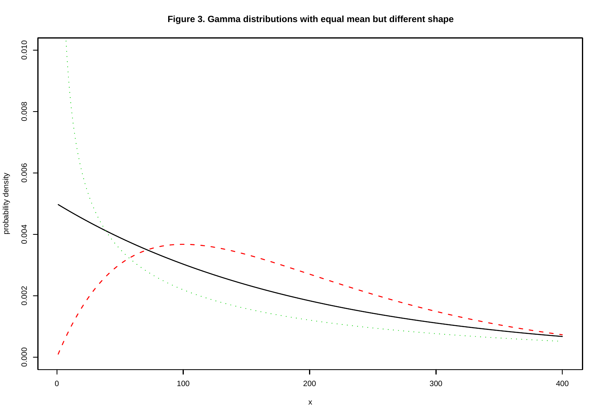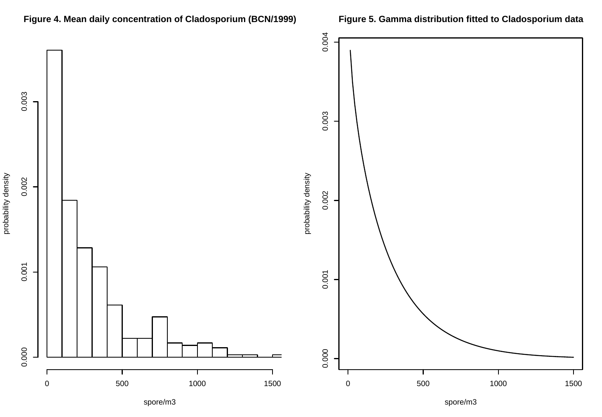

### **Figure 4. Mean daily concentration of Cladosporium (BCN/1999)**

### **Figure 5. Gamma distribution fitted to Cladosporium data**

spore/m3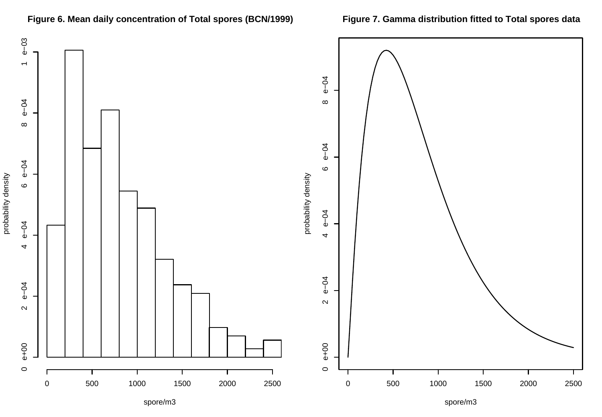

### **Figure 6. Mean daily concentration of Total spores (BCN/1999)**

### **Figure 7. Gamma distribution fitted to Total spores data**

spore/m3

spore/m3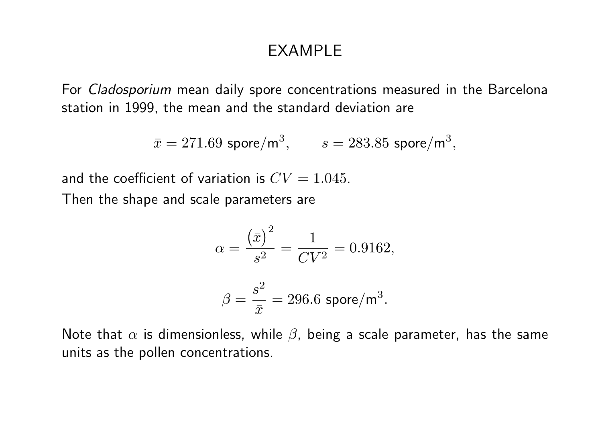### EXAMPLE

For *Cladosporium* mean daily spore concentrations measured in the Barcelona station in 1999, the mean and the standard deviation are

$$
\bar{x} = 271.69
$$
  $\text{spore/m}^3$ ,  $s = 283.85$   $\text{spore/m}^3$ ,

and the coefficient of variation is  $CV = 1.045$ .

Then the shape and scale parameters are

$$
\alpha = \frac{(\bar{x})^2}{s^2} = \frac{1}{CV^2} = 0.9162,
$$

$$
\beta = \frac{s^2}{\bar{x}} = 296.6 \text{ spore/m}^3.
$$

Note that  $\alpha$  is dimensionless, while  $\beta$ , being a scale parameter, has the same units as the pollen concentrations.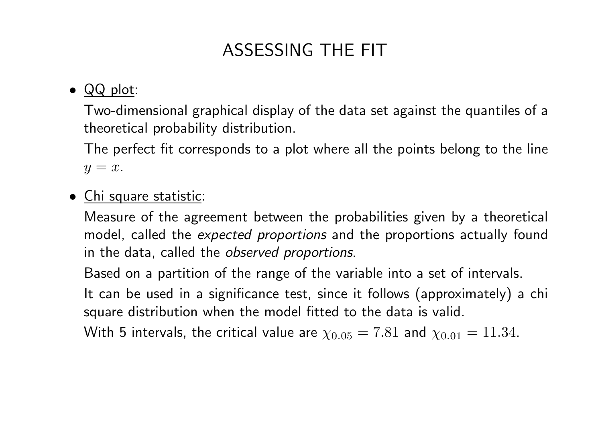## ASSESSING THE FIT

### *•* QQ plot:

Two-dimensional graphical display of the data set against the quantiles of <sup>a</sup> theoretical probability distribution.

The perfect fit corresponds to <sup>a</sup> plot where all the points belong to the line  $y = x$ .

### *•* Chi square statistic:

Measure of the agreement between the probabilities given by <sup>a</sup> theoretical model, called the *expected proportions* and the proportions actually found in the data, called the *observed proportions*.

Based on <sup>a</sup> partition of the range of the variable into <sup>a</sup> set of intervals.

It can be used in <sup>a</sup> significance test, since it follows (approximately) <sup>a</sup> chi square distribution when the model fitted to the data is valid.

With 5 intervals, the critical value are  $\chi_{0.05} = 7.81$  and  $\chi_{0.01} = 11.34$ .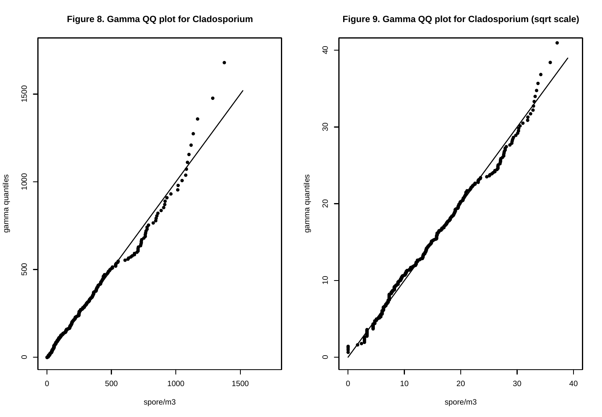

### Figure 8. Gamma QQ plot for Cladosporium

Figure 9. Gamma QQ plot for Cladosporium (sqrt scale)

spore/m3

spore/m3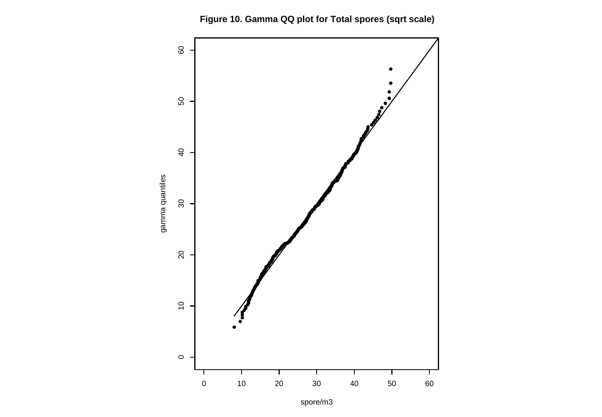

Figure 10. Gamma QQ plot for Total spores (sqrt scale)

spore/m3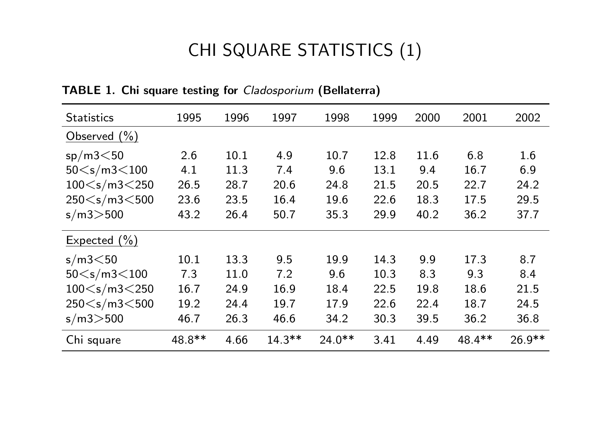## CHI SQUARE STATISTICS (1)

| <b>Statistics</b>    | 1995   | 1996 | 1997      | 1998     | 1999 | 2000 | 2001    | 2002     |
|----------------------|--------|------|-----------|----------|------|------|---------|----------|
| Observed $(\% )$     |        |      |           |          |      |      |         |          |
| sp/m3<50             | 2.6    | 10.1 | 4.9       | 10.7     | 12.8 | 11.6 | 6.8     | 1.6      |
| 50 < s/m3 < 100      | 4.1    | 11.3 | 7.4       | 9.6      | 13.1 | 9.4  | 16.7    | 6.9      |
| 100 < s/m3 < 250     | 26.5   | 28.7 | 20.6      | 24.8     | 21.5 | 20.5 | 22.7    | 24.2     |
| 250 $<$ s/m3 $<$ 500 | 23.6   | 23.5 | 16.4      | 19.6     | 22.6 | 18.3 | 17.5    | 29.5     |
| s/m3 > 500           | 43.2   | 26.4 | 50.7      | 35.3     | 29.9 | 40.2 | 36.2    | 37.7     |
| Expected $(\% )$     |        |      |           |          |      |      |         |          |
| s/m3<50              | 10.1   | 13.3 | 9.5       | 19.9     | 14.3 | 9.9  | 17.3    | 8.7      |
| 50 < s/m3 < 100      | 7.3    | 11.0 | 7.2       | 9.6      | 10.3 | 8.3  | 9.3     | 8.4      |
| 100 < s/m3 < 250     | 16.7   | 24.9 | 16.9      | 18.4     | 22.5 | 19.8 | 18.6    | 21.5     |
| 250 $<$ s/m3 $<$ 500 | 19.2   | 24.4 | 19.7      | 17.9     | 22.6 | 22.4 | 18.7    | 24.5     |
| s/m3 > 500           | 46.7   | 26.3 | 46.6      | 34.2     | 30.3 | 39.5 | 36.2    | 36.8     |
| Chi square           | 48.8** | 4.66 | $14.3***$ | $24.0**$ | 3.41 | 4.49 | 48.4 ** | $26.9**$ |

**TABLE 1. Chi square testing for** *Cladosporium* **(Bellaterra)**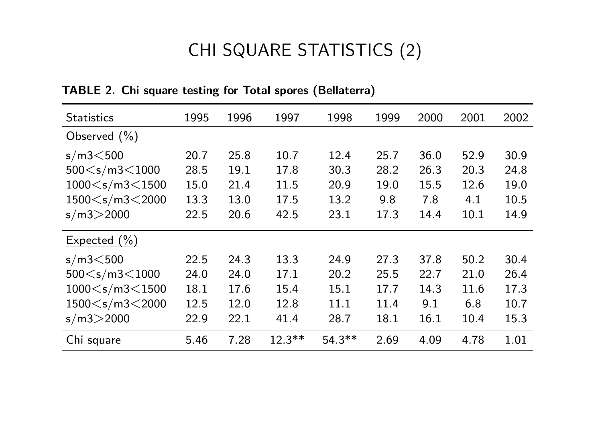## CHI SQUARE STATISTICS (2)

| <b>Statistics</b>                                                                                                                             | 1995 | 1996 | 1997      | 1998     | 1999 | 2000 | 2001 | 2002 |
|-----------------------------------------------------------------------------------------------------------------------------------------------|------|------|-----------|----------|------|------|------|------|
| Observed $(\% )$                                                                                                                              |      |      |           |          |      |      |      |      |
| $s/m3<$ 500                                                                                                                                   | 20.7 | 25.8 | 10.7      | 12.4     | 25.7 | 36.0 | 52.9 | 30.9 |
| $500 \leq s/m3 \leq 1000$                                                                                                                     | 28.5 | 19.1 | 17.8      | 30.3     | 28.2 | 26.3 | 20.3 | 24.8 |
| $1000 \leq s/m3 \leq 1500$                                                                                                                    | 15.0 | 21.4 | 11.5      | 20.9     | 19.0 | 15.5 | 12.6 | 19.0 |
| $1500 \leq s/m3 \leq 2000$                                                                                                                    | 13.3 | 13.0 | 17.5      | 13.2     | 9.8  | 7.8  | 4.1  | 10.5 |
| s/m3 > 2000                                                                                                                                   | 22.5 | 20.6 | 42.5      | 23.1     | 17.3 | 14.4 | 10.1 | 14.9 |
| Expected $(\% )$                                                                                                                              |      |      |           |          |      |      |      |      |
| $s/m3<$ 500                                                                                                                                   | 22.5 | 24.3 | 13.3      | 24.9     | 27.3 | 37.8 | 50.2 | 30.4 |
| 500 <s 1000<="" <="" m3="" td=""><td>24.0</td><td>24.0</td><td>17.1</td><td>20.2</td><td>25.5</td><td>22.7</td><td>21.0</td><td>26.4</td></s> | 24.0 | 24.0 | 17.1      | 20.2     | 25.5 | 22.7 | 21.0 | 26.4 |
| $1000 \leq s/m3 \leq 1500$                                                                                                                    | 18.1 | 17.6 | 15.4      | 15.1     | 17.7 | 14.3 | 11.6 | 17.3 |
| $1500 \leq s/m3 \leq 2000$                                                                                                                    | 12.5 | 12.0 | 12.8      | 11.1     | 11.4 | 9.1  | 6.8  | 10.7 |
| s/m3 > 2000                                                                                                                                   | 22.9 | 22.1 | 41.4      | 28.7     | 18.1 | 16.1 | 10.4 | 15.3 |
| Chi square                                                                                                                                    | 5.46 | 7.28 | $12.3***$ | $54.3**$ | 2.69 | 4.09 | 4.78 | 1.01 |

**TABLE 2. Chi square testing for Total spores (Bellaterra)**